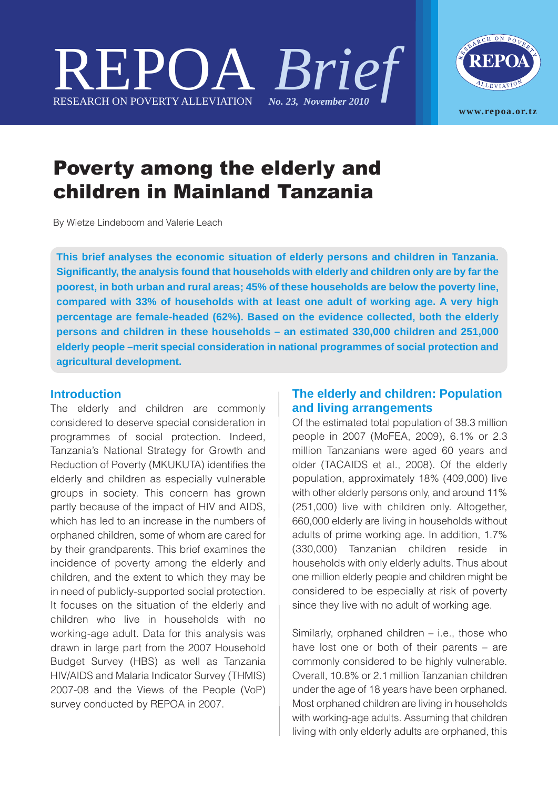



Poverty among the elderly and children in Mainland Tanzania

By Wietze Lindeboom and Valerie Leach

**This brief analyses the economic situation of elderly persons and children in Tanzania. Significantly, the analysis found that households with elderly and children only are by far the poorest, in both urban and rural areas; 45% of these households are below the poverty line, compared with 33% of households with at least one adult of working age. A very high percentage are female-headed (62%). Based on the evidence collected, both the elderly persons and children in these households – an estimated 330,000 children and 251,000 elderly people –merit special consideration in national programmes of social protection and agricultural development.**

# **Introduction**

The elderly and children are commonly considered to deserve special consideration in programmes of social protection. Indeed, Tanzania's National Strategy for Growth and Reduction of Poverty (MKUKUTA) identifies the elderly and children as especially vulnerable groups in society. This concern has grown partly because of the impact of HIV and AIDS, which has led to an increase in the numbers of orphaned children, some of whom are cared for by their grandparents. This brief examines the incidence of poverty among the elderly and children, and the extent to which they may be in need of publicly-supported social protection. It focuses on the situation of the elderly and children who live in households with no working-age adult. Data for this analysis was drawn in large part from the 2007 Household Budget Survey (HBS) as well as Tanzania HIV/AIDS and Malaria Indicator Survey (THMIS) 2007-08 and the Views of the People (VoP) survey conducted by REPOA in 2007.

# **The elderly and children: Population and living arrangements**

Of the estimated total population of 38.3 million people in 2007 (MoFEA, 2009), 6.1% or 2.3 million Tanzanians were aged 60 years and older (TACAIDS et al., 2008). Of the elderly population, approximately 18% (409,000) live with other elderly persons only, and around 11% (251,000) live with children only. Altogether, 660,000 elderly are living in households without adults of prime working age. In addition, 1.7% (330,000) Tanzanian children reside in households with only elderly adults. Thus about one million elderly people and children might be considered to be especially at risk of poverty since they live with no adult of working age.

Similarly, orphaned children – i.e., those who have lost one or both of their parents – are commonly considered to be highly vulnerable. Overall, 10.8% or 2.1 million Tanzanian children under the age of 18 years have been orphaned. Most orphaned children are living in households with working-age adults. Assuming that children living with only elderly adults are orphaned, this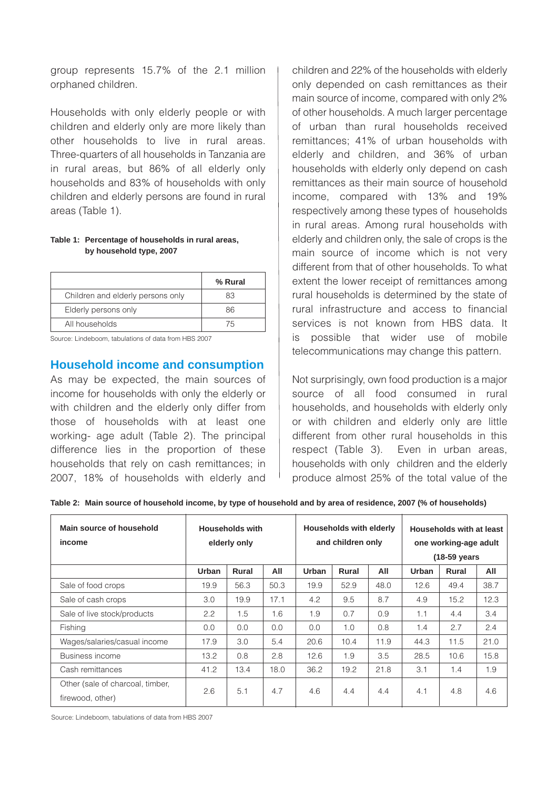group represents 15.7% of the 2.1 million orphaned children.

Households with only elderly people or with children and elderly only are more likely than other households to live in rural areas. Three-quarters of all households in Tanzania are in rural areas, but 86% of all elderly only households and 83% of households with only children and elderly persons are found in rural areas (Table 1).

#### **Table 1: Percentage of households in rural areas, by household type, 2007**

|                                   | % Rural |
|-----------------------------------|---------|
| Children and elderly persons only | 83      |
| Elderly persons only              | 86      |
| All households                    | 75      |

Source: Lindeboom, tabulations of data from HBS 2007

### **Household income and consumption**

As may be expected, the main sources of income for households with only the elderly or with children and the elderly only differ from those of households with at least one working- age adult (Table 2). The principal difference lies in the proportion of these households that rely on cash remittances; in 2007, 18% of households with elderly and children and 22% of the households with elderly only depended on cash remittances as their main source of income, compared with only 2% of other households. A much larger percentage of urban than rural households received remittances; 41% of urban households with elderly and children, and 36% of urban households with elderly only depend on cash remittances as their main source of household income, compared with 13% and 19% respectively among these types of households in rural areas. Among rural households with elderly and children only, the sale of crops is the main source of income which is not very different from that of other households. To what extent the lower receipt of remittances among rural households is determined by the state of rural infrastructure and access to financial services is not known from HBS data. It is possible that wider use of mobile telecommunications may change this pattern.

Not surprisingly, own food production is a major source of all food consumed in rural households, and households with elderly only or with children and elderly only are little different from other rural households in this respect (Table 3). Even in urban areas, households with only children and the elderly produce almost 25% of the total value of the

|  | Table 2: Main source of household income, by type of household and by area of residence, 2007 (% of households) |  |  |  |
|--|-----------------------------------------------------------------------------------------------------------------|--|--|--|
|--|-----------------------------------------------------------------------------------------------------------------|--|--|--|

| Main source of household<br>income                   | <b>Households with</b><br>elderly only |              |      |       | <b>Households with elderly</b><br>and children only |      | Households with at least<br>one working-age adult<br>(18-59 years) |              |      |  |
|------------------------------------------------------|----------------------------------------|--------------|------|-------|-----------------------------------------------------|------|--------------------------------------------------------------------|--------------|------|--|
|                                                      | Urban                                  | <b>Rural</b> | All  | Urban | <b>Rural</b>                                        | All  | Urban                                                              | <b>Rural</b> | All  |  |
| Sale of food crops                                   | 19.9                                   | 56.3         | 50.3 | 19.9  | 52.9                                                | 48.0 | 12.6                                                               | 49.4         | 38.7 |  |
| Sale of cash crops                                   | 3.0                                    | 19.9         | 17.1 | 4.2   | 9.5                                                 | 8.7  | 4.9                                                                | 15.2         | 12.3 |  |
| Sale of live stock/products                          | 2.2                                    | 1.5          | 1.6  | 1.9   | 0.7                                                 | 0.9  | 1.1                                                                | 4.4          | 3.4  |  |
| Fishing                                              | 0.0                                    | 0.0          | 0.0  | 0.0   | 1.0                                                 | 0.8  | 1.4                                                                | 2.7          | 2.4  |  |
| Wages/salaries/casual income                         | 17.9                                   | 3.0          | 5.4  | 20.6  | 10.4                                                | 11.9 | 44.3                                                               | 11.5         | 21.0 |  |
| Business income                                      | 13.2                                   | 0.8          | 2.8  | 12.6  | 1.9                                                 | 3.5  | 28.5                                                               | 10.6         | 15.8 |  |
| Cash remittances                                     | 41.2                                   | 13.4         | 18.0 | 36.2  | 19.2                                                | 21.8 | 3.1                                                                | 1.4          | 1.9  |  |
| Other (sale of charcoal, timber,<br>firewood, other) | 2.6                                    | 5.1          | 4.7  | 4.6   | 4.4                                                 | 4.4  | 4.1                                                                | 4.8          | 4.6  |  |

Source: Lindeboom, tabulations of data from HBS 2007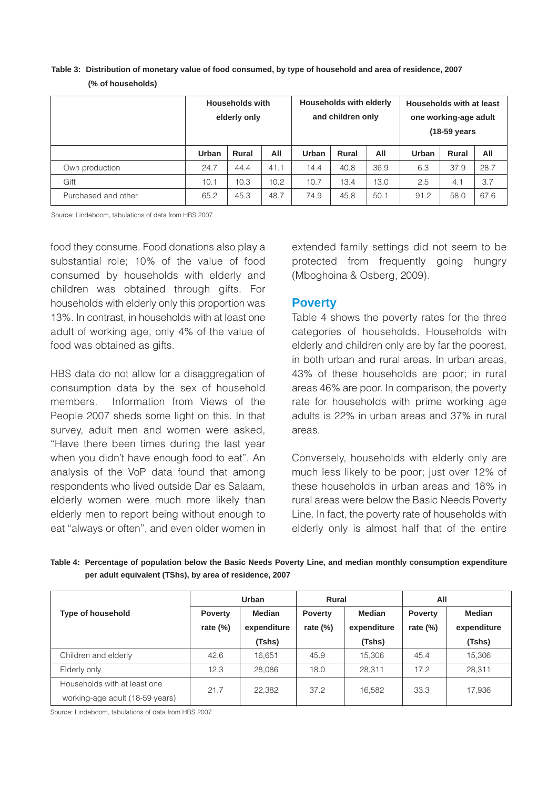|                     | <b>Households with</b><br>elderly only |              | <b>Households with elderly</b><br>and children only |       |       | Households with at least<br>one working-age adult<br>(18-59 years |       |       |      |
|---------------------|----------------------------------------|--------------|-----------------------------------------------------|-------|-------|-------------------------------------------------------------------|-------|-------|------|
|                     | Urban                                  | <b>Rural</b> | All                                                 | Urban | Rural | All                                                               | Urban | Rural | All  |
| Own production      | 24.7                                   | 44.4         | 41.1                                                | 14.4  | 40.8  | 36.9                                                              | 6.3   | 37.9  | 28.7 |
| Gift                | 10.1                                   | 10.3         | 10.2                                                | 10.7  | 13.4  | 13.0                                                              | 2.5   | 4.1   | 3.7  |
| Purchased and other | 65.2                                   | 45.3         | 48.7                                                | 74.9  | 45.8  | 50.1                                                              | 91.2  | 58.0  | 67.6 |

Table 3: Distribution of monetary value of food consumed, by type of household and area of residence, 2007 **(% of households)**

Source: Lindeboom, tabulations of data from HBS 2007

food they consume. Food donations also play a substantial role; 10% of the value of food consumed by households with elderly and children was obtained through gifts. For households with elderly only this proportion was 13%. In contrast, in households with at least one adult of working age, only 4% of the value of food was obtained as gifts.

HBS data do not allow for a disaggregation of consumption data by the sex of household members. Information from Views of the People 2007 sheds some light on this. In that survey, adult men and women were asked, "Have there been times during the last year when you didn't have enough food to eat". An analysis of the VoP data found that among respondents who lived outside Dar es Salaam, elderly women were much more likely than elderly men to report being without enough to eat "always or often", and even older women in

extended family settings did not seem to be protected from frequently going hungry (Mboghoina & Osberg, 2009).

## **Poverty**

Table 4 shows the poverty rates for the three categories of households. Households with elderly and children only are by far the poorest, in both urban and rural areas. In urban areas, 43% of these households are poor; in rural areas 46% are poor. In comparison, the poverty rate for households with prime working age adults is 22% in urban areas and 37% in rural areas.

Conversely, households with elderly only are much less likely to be poor; just over 12% of these households in urban areas and 18% in rural areas were below the Basic Needs Poverty Line. In fact, the poverty rate of households with elderly only is almost half that of the entire

**Table 4: Percentage of population below the Basic Needs Poverty Line, and median monthly consumption expenditure per adult equivalent (TShs), by area of residence, 2007**

|                                 |                            | <b>Urban</b>  | Rural                      |        | All            |               |  |
|---------------------------------|----------------------------|---------------|----------------------------|--------|----------------|---------------|--|
| <b>Type of household</b>        | <b>Poverty</b>             | <b>Median</b> | <b>Poverty</b>             | Median | <b>Poverty</b> | <b>Median</b> |  |
|                                 | rate $(\%)$<br>expenditure |               | rate $(\%)$<br>expenditure |        | rate $(\%)$    | expenditure   |  |
|                                 |                            | (Tshs)        |                            | (Tshs) |                | (Tshs)        |  |
| Children and elderly            | 42.6                       | 16,651        | 45.9                       | 15.306 | 45.4           | 15,306        |  |
| Elderly only                    | 12.3                       | 28,086        | 18.0                       | 28,311 | 17.2           | 28,311        |  |
| Households with at least one    | 21.7                       | 22,382        | 37.2                       | 16,582 | 33.3           | 17,936        |  |
| working-age adult (18-59 years) |                            |               |                            |        |                |               |  |

Source: Lindeboom, tabulations of data from HBS 2007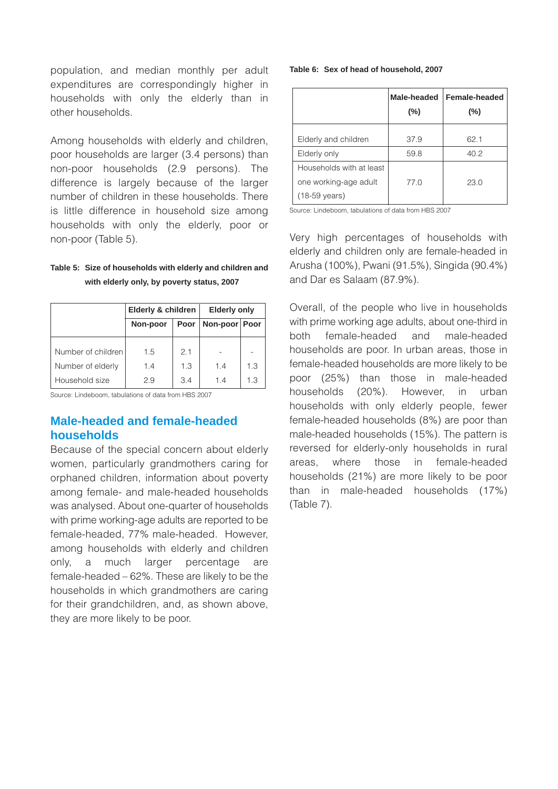population, and median monthly per adult expenditures are correspondingly higher in households with only the elderly than in other households.

Among households with elderly and children, poor households are larger (3.4 persons) than non-poor households (2.9 persons). The difference is largely because of the larger number of children in these households. There is little difference in household size among households with only the elderly, poor or non-poor (Table 5).

## **Table 5: Size of households with elderly and children and with elderly only, by poverty status, 2007**

|                    | <b>Elderly &amp; children</b> |      | <b>Elderly only</b> |     |  |  |
|--------------------|-------------------------------|------|---------------------|-----|--|--|
|                    | Non-poor                      | Poor | Non-poor   Poor     |     |  |  |
|                    |                               |      |                     |     |  |  |
| Number of children | 1.5                           | 21   |                     |     |  |  |
| Number of elderly  | 1.4                           | 1.3  | 14                  | 1.3 |  |  |
| Household size     | 29                            | 3.4  | 14                  | 13  |  |  |

Source: Lindeboom, tabulations of data from HBS 2007

# **Male-headed and female-headed households**

Because of the special concern about elderly women, particularly grandmothers caring for orphaned children, information about poverty among female- and male-headed households was analysed. About one-quarter of households with prime working-age adults are reported to be female-headed, 77% male-headed. However, among households with elderly and children only, a much larger percentage are female-headed – 62%. These are likely to be the households in which grandmothers are caring for their grandchildren, and, as shown above, they are more likely to be poor.

#### **Table 6: Sex of head of household, 2007**

|                          | Male-headed<br>$(\% )$ | Female-headed<br>$(\% )$ |
|--------------------------|------------------------|--------------------------|
| Elderly and children     | 37.9                   | 62.1                     |
| Elderly only             | 59.8                   | 40.2                     |
| Households with at least |                        |                          |
| one working-age adult    | 77 Q                   | 23.0                     |
| (18-59 years)            |                        |                          |

Source: Lindeboom, tabulations of data from HBS 2007

Very high percentages of households with elderly and children only are female-headed in Arusha (100%), Pwani (91.5%), Singida (90.4%) and Dar es Salaam (87.9%).

Overall, of the people who live in households with prime working age adults, about one-third in both female-headed and male-headed households are poor. In urban areas, those in female-headed households are more likely to be poor (25%) than those in male-headed households (20%). However, in urban households with only elderly people, fewer female-headed households (8%) are poor than male-headed households (15%). The pattern is reversed for elderly-only households in rural areas, where those in female-headed households (21%) are more likely to be poor than in male-headed households (17%) (Table 7).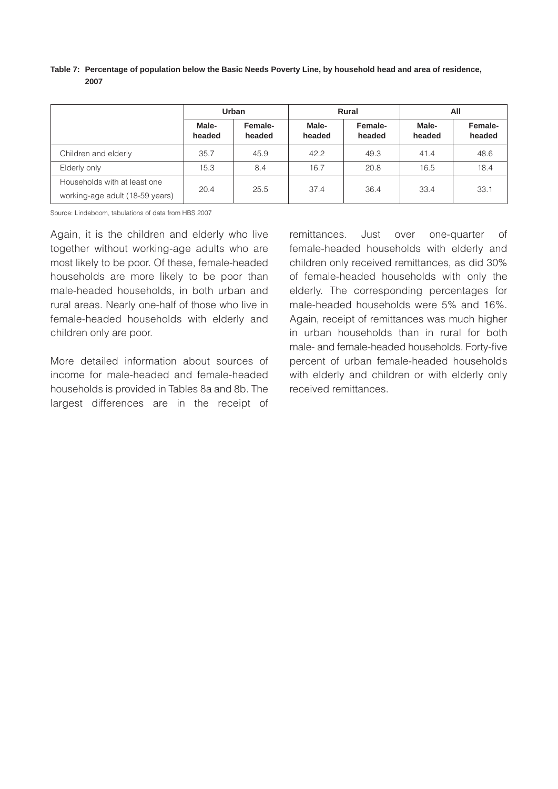| Table 7: Percentage of population below the Basic Needs Poverty Line, by household head and area of residence, |
|----------------------------------------------------------------------------------------------------------------|
| 2007                                                                                                           |

|                                                                 |                                      | <b>Urban</b> |                 | <b>Rural</b>      | All             |                   |  |
|-----------------------------------------------------------------|--------------------------------------|--------------|-----------------|-------------------|-----------------|-------------------|--|
|                                                                 | Male-<br>Female-<br>headed<br>headed |              | Male-<br>headed | Female-<br>headed | Male-<br>headed | Female-<br>headed |  |
| Children and elderly                                            | 35.7                                 | 45.9         | 42.2            | 49.3              | 41.4            | 48.6              |  |
| Elderly only                                                    | 15.3                                 | 8.4          | 16.7            | 20.8              | 16.5            | 18.4              |  |
| Households with at least one<br>working-age adult (18-59 years) | 20.4                                 | 25.5         | 37.4            | 36.4              | 33.4            | 33.1              |  |

Source: Lindeboom, tabulations of data from HBS 2007

Again, it is the children and elderly who live together without working-age adults who are most likely to be poor. Of these, female-headed households are more likely to be poor than male-headed households, in both urban and rural areas. Nearly one-half of those who live in female-headed households with elderly and children only are poor.

More detailed information about sources of income for male-headed and female-headed households is provided in Tables 8a and 8b. The largest differences are in the receipt of remittances. Just over one-quarter of female-headed households with elderly and children only received remittances, as did 30% of female-headed households with only the elderly. The corresponding percentages for male-headed households were 5% and 16%. Again, receipt of remittances was much higher in urban households than in rural for both male- and female-headed households. Forty-five percent of urban female-headed households with elderly and children or with elderly only received remittances.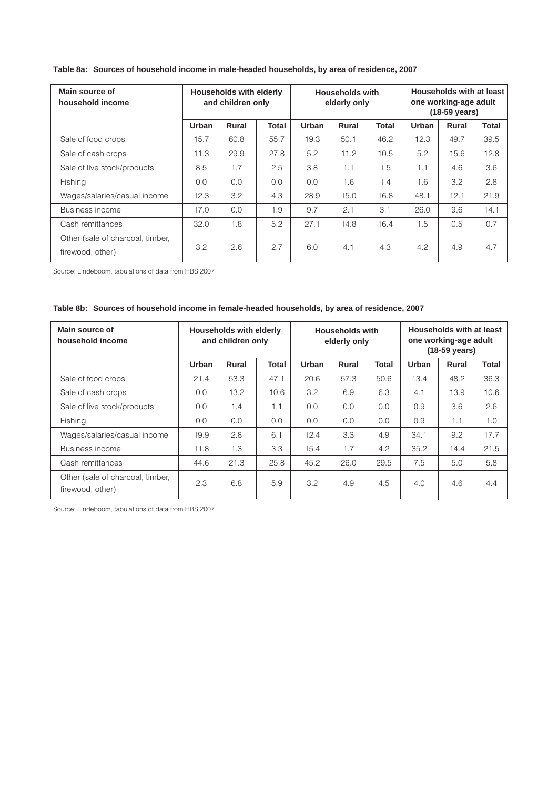| Main source of<br>household income                   | <b>Households with elderly</b><br>and children only |       |       |       | <b>Households with</b><br>elderly only |       | Households with at least<br>one working-age adult<br>(18-59 years) |       |              |
|------------------------------------------------------|-----------------------------------------------------|-------|-------|-------|----------------------------------------|-------|--------------------------------------------------------------------|-------|--------------|
|                                                      | Urban                                               | Rural | Total | Urban | Rural                                  | Total | Urban                                                              | Rural | <b>Total</b> |
| Sale of food crops                                   | 15.7                                                | 60.8  | 55.7  | 19.3  | 50.1                                   | 46.2  | 12.3                                                               | 49.7  | 39.5         |
| Sale of cash crops                                   | 11.3                                                | 29.9  | 27.8  | 5.2   | 11.2                                   | 10.5  | 5.2                                                                | 15.6  | 12.8         |
| Sale of live stock/products                          | 8.5                                                 | 1.7   | 2.5   | 3.8   | 1.1                                    | 1.5   | 1.1                                                                | 4.6   | 3.6          |
| Fishing                                              | 0.0                                                 | 0.0   | 0.0   | 0.0   | 1.6                                    | 1.4   | 1.6                                                                | 3.2   | 2.8          |
| Wages/salaries/casual income                         | 12.3                                                | 3.2   | 4.3   | 28.9  | 15.0                                   | 16.8  | 48.1                                                               | 12.1  | 21.9         |
| Business income                                      | 17.0                                                | 0.0   | 1.9   | 9.7   | 2.1                                    | 3.1   | 26.0                                                               | 9.6   | 14.1         |
| Cash remittances                                     | 32.0                                                | 1.8   | 5.2   | 27.1  | 14.8                                   | 16.4  | 1.5                                                                | 0.5   | 0.7          |
| Other (sale of charcoal, timber,<br>firewood, other) | 3.2                                                 | 2.6   | 2.7   | 6.0   | 4.1                                    | 4.3   | 4.2                                                                | 4.9   | 4.7          |

### **Table 8a: Sources of household income in male-headed households, by area of residence, 2007**

Source: Lindeboom, tabulations of data from HBS 2007

| Main source of<br>household income                   | <b>Households with elderly</b><br>and children only |              |       |       | <b>Households with</b><br>elderly only |              | Households with at least<br>one working-age adult<br>(18-59 years) |              |              |
|------------------------------------------------------|-----------------------------------------------------|--------------|-------|-------|----------------------------------------|--------------|--------------------------------------------------------------------|--------------|--------------|
|                                                      | <b>Urban</b>                                        | <b>Rural</b> | Total | Urban | <b>Rural</b>                           | <b>Total</b> | Urban                                                              | <b>Rural</b> | <b>Total</b> |
| Sale of food crops                                   | 21.4                                                | 53.3         | 47.1  | 20.6  | 57.3                                   | 50.6         | 13.4                                                               | 48.2         | 36.3         |
| Sale of cash crops                                   | 0.0                                                 | 13.2         | 10.6  | 3.2   | 6.9                                    | 6.3          | 4.1                                                                | 13.9         | 10.6         |
| Sale of live stock/products                          | 0.0                                                 | 1.4          | 1.1   | 0.0   | 0.0                                    | 0.0          | 0.9                                                                | 3.6          | 2.6          |
| Fishing                                              | 0.0                                                 | 0.0          | 0.0   | 0.0   | 0.0                                    | 0.0          | 0.9                                                                | 1.1          | 1.0          |
| Wages/salaries/casual income                         | 19.9                                                | 2.8          | 6.1   | 12.4  | 3.3                                    | 4.9          | 34.1                                                               | 9.2          | 17.7         |
| Business income                                      | 11.8                                                | 1.3          | 3.3   | 15.4  | 1.7                                    | 4.2          | 35.2                                                               | 14.4         | 21.5         |
| Cash remittances                                     | 44.6                                                | 21.3         | 25.8  | 45.2  | 26.0                                   | 29.5         | 7.5                                                                | 5.0          | 5.8          |
| Other (sale of charcoal, timber,<br>firewood, other) | 2.3                                                 | 6.8          | 5.9   | 3.2   | 4.9                                    | 4.5          | 4.0                                                                | 4.6          | 4.4          |

Source: Lindeboom, tabulations of data from HBS 2007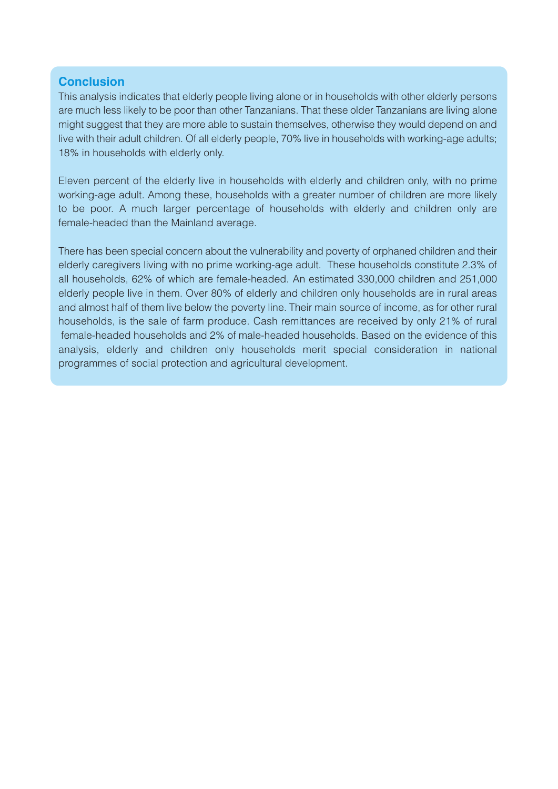# **Conclusion**

This analysis indicates that elderly people living alone or in households with other elderly persons are much less likely to be poor than other Tanzanians. That these older Tanzanians are living alone might suggest that they are more able to sustain themselves, otherwise they would depend on and live with their adult children. Of all elderly people, 70% live in households with working-age adults; 18% in households with elderly only.

Eleven percent of the elderly live in households with elderly and children only, with no prime working-age adult. Among these, households with a greater number of children are more likely to be poor. A much larger percentage of households with elderly and children only are female-headed than the Mainland average.

There has been special concern about the vulnerability and poverty of orphaned children and their elderly caregivers living with no prime working-age adult. These households constitute 2.3% of all households, 62% of which are female-headed. An estimated 330,000 children and 251,000 elderly people live in them. Over 80% of elderly and children only households are in rural areas and almost half of them live below the poverty line. Their main source of income, as for other rural households, is the sale of farm produce. Cash remittances are received by only 21% of rural female-headed households and 2% of male-headed households. Based on the evidence of this analysis, elderly and children only households merit special consideration in national programmes of social protection and agricultural development.